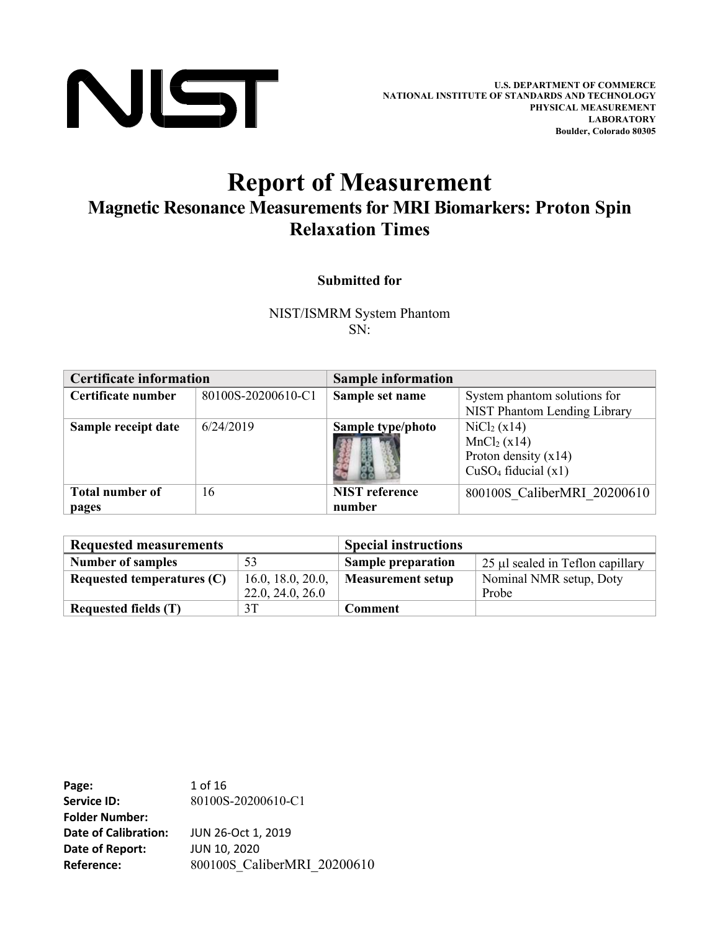

# **Report of Measurement Magnetic Resonance Measurements for MRI Biomarkers: Proton Spin Relaxation Times**

#### **Submitted for**

NIST/ISMRM System Phantom SN:

| <b>Certificate information</b> |                    | <b>Sample information</b> |                                 |  |  |
|--------------------------------|--------------------|---------------------------|---------------------------------|--|--|
| Certificate number             | 80100S-20200610-C1 | Sample set name           | System phantom solutions for    |  |  |
|                                |                    |                           | NIST Phantom Lending Library    |  |  |
| Sample receipt date            | 6/24/2019          | Sample type/photo         | $\rm{NiCl}_{2}$ (x14)           |  |  |
|                                |                    |                           | MnCl <sub>2</sub> (x14)         |  |  |
|                                |                    |                           | Proton density $(x14)$          |  |  |
|                                |                    |                           | CuSO <sub>4</sub> fiducial (x1) |  |  |
| <b>Total number of</b>         | 16                 | <b>NIST</b> reference     | 800100S CaliberMRI 20200610     |  |  |
| pages                          |                    | number                    |                                 |  |  |

| <b>Requested measurements</b> |                   | <b>Special instructions</b> |                                  |  |  |  |
|-------------------------------|-------------------|-----------------------------|----------------------------------|--|--|--|
| <b>Number of samples</b>      | 53                | <b>Sample preparation</b>   | 25 µl sealed in Teflon capillary |  |  |  |
| Requested temperatures $(C)$  | 16.0, 18.0, 20.0, | <b>Measurement setup</b>    | Nominal NMR setup, Doty          |  |  |  |
|                               | 22.0, 24.0, 26.0  |                             | Probe                            |  |  |  |
| Requested fields (T)          | 3T                | Comment                     |                                  |  |  |  |

**Page:** 1 of 16 **Service ID:** 80100S-20200610-C1 **Folder Number: Date of Calibration:** JUN 26-Oct 1, 2019 **Date of Report:** JUN 10, 2020 **Reference:** 800100S CaliberMRI 20200610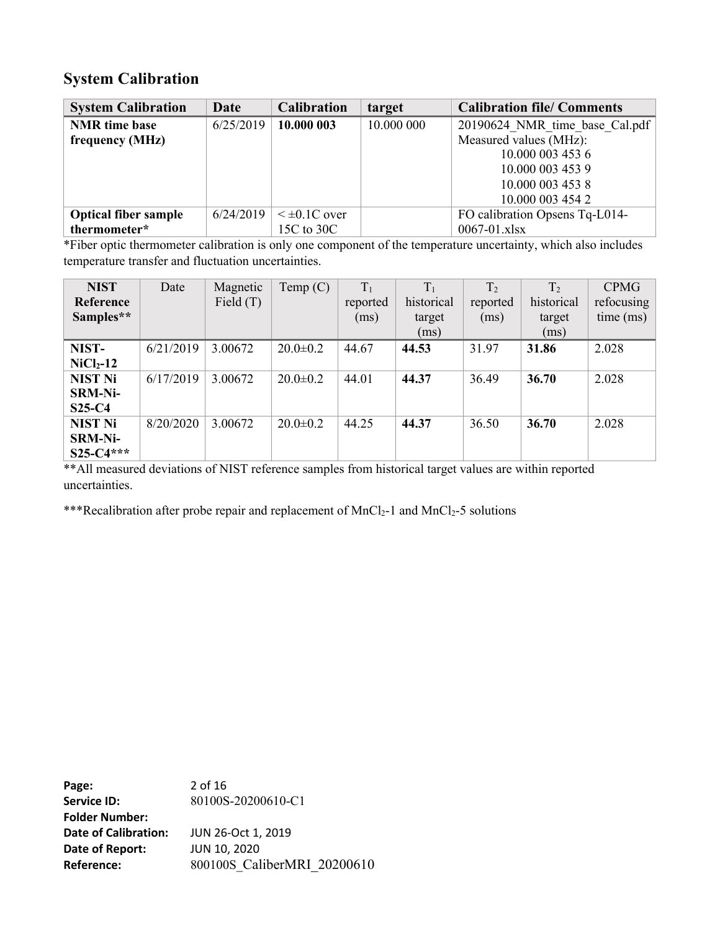#### **System Calibration**

| <b>System Calibration</b>   | Date      | <b>Calibration</b>   | target     | <b>Calibration file/ Comments</b> |
|-----------------------------|-----------|----------------------|------------|-----------------------------------|
| <b>NMR</b> time base        | 6/25/2019 | 10.000 003           | 10.000 000 | 20190624 NMR time base Cal.pdf    |
| frequency (MHz)             |           |                      |            | Measured values (MHz):            |
|                             |           |                      |            | 10.000 003 453 6                  |
|                             |           |                      |            | 10.000 003 453 9                  |
|                             |           |                      |            | 10.000 003 453 8                  |
|                             |           |                      |            | 10.000 003 454 2                  |
| <b>Optical fiber sample</b> | 6/24/2019 | $\leq \pm 0.1C$ over |            | FO calibration Opsens Tq-L014-    |
| thermometer*                |           | 15C to 30C           |            | $0067 - 01$ .xlsx                 |

\*Fiber optic thermometer calibration is only one component of the temperature uncertainty, which also includes temperature transfer and fluctuation uncertainties.

| <b>NIST</b>    | Date      | Magnetic    | Temp $(C)$     | $T_1$    | $T_1$      | T <sub>2</sub> | T <sub>2</sub> | <b>CPMG</b> |
|----------------|-----------|-------------|----------------|----------|------------|----------------|----------------|-------------|
| Reference      |           | Field $(T)$ |                | reported | historical | reported       | historical     | refocusing  |
| Samples**      |           |             |                | (ms)     | target     | (ms)           | target         | time (ms)   |
|                |           |             |                |          | (ms)       |                | (ms)           |             |
| NIST-          | 6/21/2019 | 3.00672     | $20.0 \pm 0.2$ | 44.67    | 44.53      | 31.97          | 31.86          | 2.028       |
| $NiCl2-12$     |           |             |                |          |            |                |                |             |
| <b>NIST Ni</b> | 6/17/2019 | 3.00672     | $20.0 \pm 0.2$ | 44.01    | 44.37      | 36.49          | 36.70          | 2.028       |
| <b>SRM-Ni-</b> |           |             |                |          |            |                |                |             |
| $S25-C4$       |           |             |                |          |            |                |                |             |
| <b>NIST Ni</b> | 8/20/2020 | 3.00672     | $20.0 \pm 0.2$ | 44.25    | 44.37      | 36.50          | 36.70          | 2.028       |
| <b>SRM-Ni-</b> |           |             |                |          |            |                |                |             |
| $S25-C4***$    |           |             |                |          |            |                |                |             |

\*\*All measured deviations of NIST reference samples from historical target values are within reported uncertainties.

\*\*\*Recalibration after probe repair and replacement of  $MnCl<sub>2</sub>-1$  and  $MnCl<sub>2</sub>-5$  solutions

**Page:** 2 of 16 **Service ID:** 80100S-20200610-C1 **Folder Number: Date of Calibration:** JUN 26-Oct 1, 2019 **Date of Report:** JUN 10, 2020 **Reference:** 800100S\_CaliberMRI\_20200610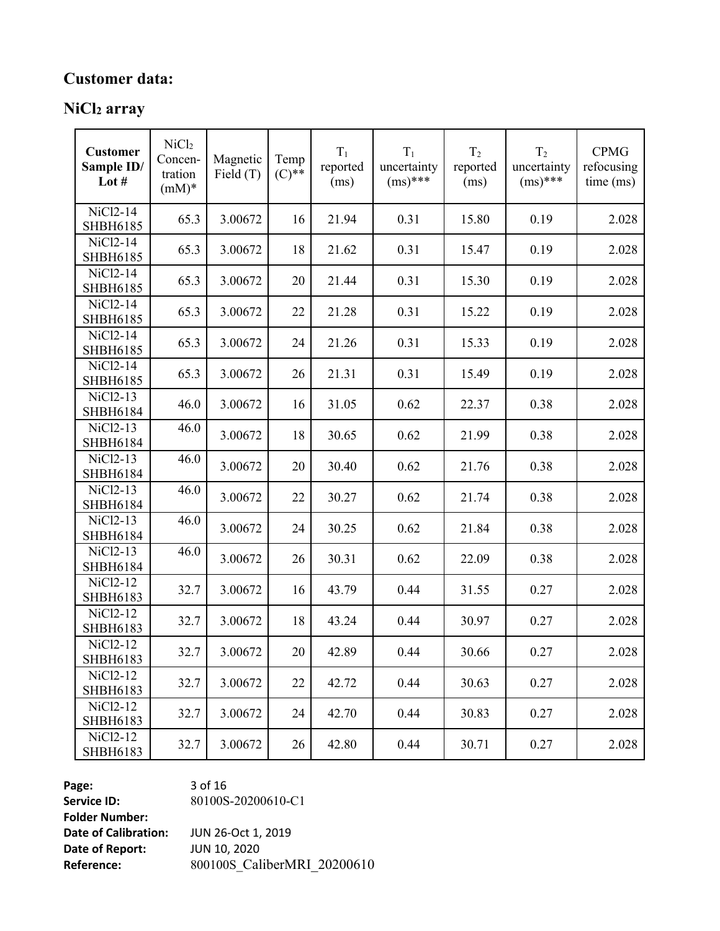## **Customer data:**

## **NiCl<sup>2</sup> array**

| <b>Customer</b><br>Sample ID/<br>Lot $#$ | NiCl <sub>2</sub><br>Concen-<br>tration<br>$(mM)*$ | Magnetic<br>Field $(T)$ | Temp<br>$(C)$ ** | $T_1$<br>reported<br>(ms) | $T_1$<br>uncertainty<br>$(ms)^{***}$ | T <sub>2</sub><br>reported<br>(ms) | T <sub>2</sub><br>uncertainty<br>$(ms)^{***}$ | <b>CPMG</b><br>refocusing<br>time (ms) |
|------------------------------------------|----------------------------------------------------|-------------------------|------------------|---------------------------|--------------------------------------|------------------------------------|-----------------------------------------------|----------------------------------------|
| NiCl <sub>2</sub> -14<br><b>SHBH6185</b> | 65.3                                               | 3.00672                 | 16               | 21.94                     | 0.31                                 | 15.80                              | 0.19                                          | 2.028                                  |
| NiCl2-14<br>SHBH6185                     | 65.3                                               | 3.00672                 | 18               | 21.62                     | 0.31                                 | 15.47                              | 0.19                                          | 2.028                                  |
| NiCl2-14<br><b>SHBH6185</b>              | 65.3                                               | 3.00672                 | 20               | 21.44                     | 0.31                                 | 15.30                              | 0.19                                          | 2.028                                  |
| NiCl2-14<br>SHBH6185                     | 65.3                                               | 3.00672                 | 22               | 21.28                     | 0.31                                 | 15.22                              | 0.19                                          | 2.028                                  |
| NiCl2-14<br>SHBH6185                     | 65.3                                               | 3.00672                 | 24               | 21.26                     | 0.31                                 | 15.33                              | 0.19                                          | 2.028                                  |
| NiCl2-14<br><b>SHBH6185</b>              | 65.3                                               | 3.00672                 | 26               | 21.31                     | 0.31                                 | 15.49                              | 0.19                                          | 2.028                                  |
| NiCl <sub>2</sub> -13<br>SHBH6184        | 46.0                                               | 3.00672                 | 16               | 31.05                     | 0.62                                 | 22.37                              | 0.38                                          | 2.028                                  |
| NiCl <sub>2</sub> -13<br>SHBH6184        | 46.0                                               | 3.00672                 | 18               | 30.65                     | 0.62                                 | 21.99                              | 0.38                                          | 2.028                                  |
| NiCl <sub>2</sub> -13<br>SHBH6184        | 46.0                                               | 3.00672                 | 20               | 30.40                     | 0.62                                 | 21.76                              | 0.38                                          | 2.028                                  |
| NiCl <sub>2</sub> -13<br>SHBH6184        | 46.0                                               | 3.00672                 | 22               | 30.27                     | 0.62                                 | 21.74                              | 0.38                                          | 2.028                                  |
| NiCl <sub>2</sub> -13<br><b>SHBH6184</b> | 46.0                                               | 3.00672                 | 24               | 30.25                     | 0.62                                 | 21.84                              | 0.38                                          | 2.028                                  |
| NiCl2-13<br>SHBH6184                     | 46.0                                               | 3.00672                 | 26               | 30.31                     | 0.62                                 | 22.09                              | 0.38                                          | 2.028                                  |
| NiCl <sub>2</sub> -12<br>SHBH6183        | 32.7                                               | 3.00672                 | 16               | 43.79                     | 0.44                                 | 31.55                              | 0.27                                          | 2.028                                  |
| NiCl <sub>2</sub> -12<br>SHBH6183        | 32.7                                               | 3.00672                 | 18               | 43.24                     | 0.44                                 | 30.97                              | 0.27                                          | 2.028                                  |
| NiCl2-12<br><b>SHBH6183</b>              | 32.7                                               | 3.00672                 | 20               | 42.89                     | 0.44                                 | 30.66                              | 0.27                                          | 2.028                                  |
| NiCl <sub>2</sub> -12<br>SHBH6183        | 32.7                                               | 3.00672                 | 22               | 42.72                     | 0.44                                 | 30.63                              | 0.27                                          | 2.028                                  |
| NiCl <sub>2</sub> -12<br><b>SHBH6183</b> | 32.7                                               | 3.00672                 | 24               | 42.70                     | 0.44                                 | 30.83                              | 0.27                                          | 2.028                                  |
| NiCl <sub>2</sub> -12<br>SHBH6183        | 32.7                                               | 3.00672                 | 26               | 42.80                     | 0.44                                 | 30.71                              | 0.27                                          | 2.028                                  |

**Page:** 3 of 16 **Service ID:** 80100S-20200610-C1 **Folder Number: Date of Calibration:** JUN 26-Oct 1, 2019<br>**Date of Report:** JUN 10, 2020 **Date of Report:** 

**Reference:** 800100S\_CaliberMRI\_20200610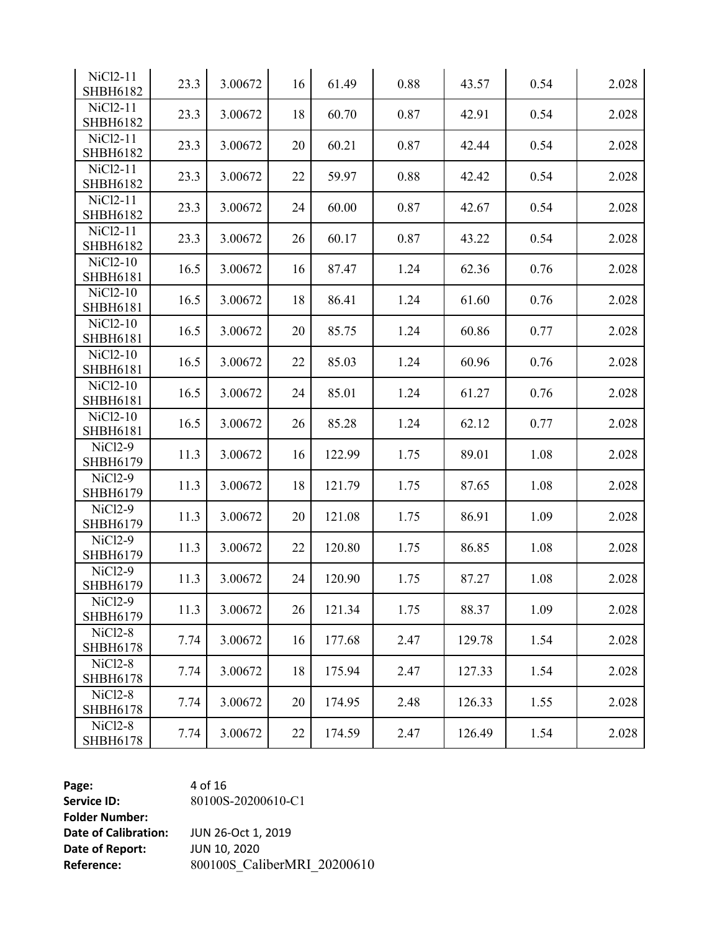| NiCl <sub>2</sub> -11<br><b>SHBH6182</b> | 23.3 | 3.00672 | 16 | 61.49  | 0.88 | 43.57  | 0.54 | 2.028 |
|------------------------------------------|------|---------|----|--------|------|--------|------|-------|
| NiCl <sub>2</sub> -11<br><b>SHBH6182</b> | 23.3 | 3.00672 | 18 | 60.70  | 0.87 | 42.91  | 0.54 | 2.028 |
| NiCl <sub>2</sub> -11<br><b>SHBH6182</b> | 23.3 | 3.00672 | 20 | 60.21  | 0.87 | 42.44  | 0.54 | 2.028 |
| NiCl <sub>2</sub> -11<br><b>SHBH6182</b> | 23.3 | 3.00672 | 22 | 59.97  | 0.88 | 42.42  | 0.54 | 2.028 |
| NiCl <sub>2</sub> -11<br><b>SHBH6182</b> | 23.3 | 3.00672 | 24 | 60.00  | 0.87 | 42.67  | 0.54 | 2.028 |
| NiCl <sub>2</sub> -11<br><b>SHBH6182</b> | 23.3 | 3.00672 | 26 | 60.17  | 0.87 | 43.22  | 0.54 | 2.028 |
| NiCl <sub>2</sub> -10<br><b>SHBH6181</b> | 16.5 | 3.00672 | 16 | 87.47  | 1.24 | 62.36  | 0.76 | 2.028 |
| NiCl <sub>2</sub> -10<br><b>SHBH6181</b> | 16.5 | 3.00672 | 18 | 86.41  | 1.24 | 61.60  | 0.76 | 2.028 |
| NiCl <sub>2</sub> -10<br><b>SHBH6181</b> | 16.5 | 3.00672 | 20 | 85.75  | 1.24 | 60.86  | 0.77 | 2.028 |
| NiCl <sub>2</sub> -10<br>SHBH6181        | 16.5 | 3.00672 | 22 | 85.03  | 1.24 | 60.96  | 0.76 | 2.028 |
| NiCl <sub>2</sub> -10<br><b>SHBH6181</b> | 16.5 | 3.00672 | 24 | 85.01  | 1.24 | 61.27  | 0.76 | 2.028 |
| NiCl <sub>2</sub> -10<br><b>SHBH6181</b> | 16.5 | 3.00672 | 26 | 85.28  | 1.24 | 62.12  | 0.77 | 2.028 |
| NiCl2-9<br>SHBH6179                      | 11.3 | 3.00672 | 16 | 122.99 | 1.75 | 89.01  | 1.08 | 2.028 |
| NiCl2-9<br>SHBH6179                      | 11.3 | 3.00672 | 18 | 121.79 | 1.75 | 87.65  | 1.08 | 2.028 |
| NiCl <sub>2-9</sub><br>SHBH6179          | 11.3 | 3.00672 | 20 | 121.08 | 1.75 | 86.91  | 1.09 | 2.028 |
| NiCl <sub>2-9</sub><br>SHBH6179          | 11.3 | 3.00672 | 22 | 120.80 | 1.75 | 86.85  | 1.08 | 2.028 |
| NiCl <sub>2-9</sub><br>SHBH6179          | 11.3 | 3.00672 | 24 | 120.90 | 1.75 | 87.27  | 1.08 | 2.028 |
| NiCl2-9<br>SHBH6179                      | 11.3 | 3.00672 | 26 | 121.34 | 1.75 | 88.37  | 1.09 | 2.028 |
| NiCl <sub>2</sub> -8<br><b>SHBH6178</b>  | 7.74 | 3.00672 | 16 | 177.68 | 2.47 | 129.78 | 1.54 | 2.028 |
| NiCl <sub>2</sub> -8<br><b>SHBH6178</b>  | 7.74 | 3.00672 | 18 | 175.94 | 2.47 | 127.33 | 1.54 | 2.028 |
| <b>NiCl2-8</b><br><b>SHBH6178</b>        | 7.74 | 3.00672 | 20 | 174.95 | 2.48 | 126.33 | 1.55 | 2.028 |
| NiCl <sub>2</sub> -8<br><b>SHBH6178</b>  | 7.74 | 3.00672 | 22 | 174.59 | 2.47 | 126.49 | 1.54 | 2.028 |

**Page:** 4 of 16 **Service ID: Folder Number: Date of Calibration:** JUN 26-Oct 1,<br>**Date of Report:** JUN 10, 2020 **Date of Report:** 

-20200610 -C1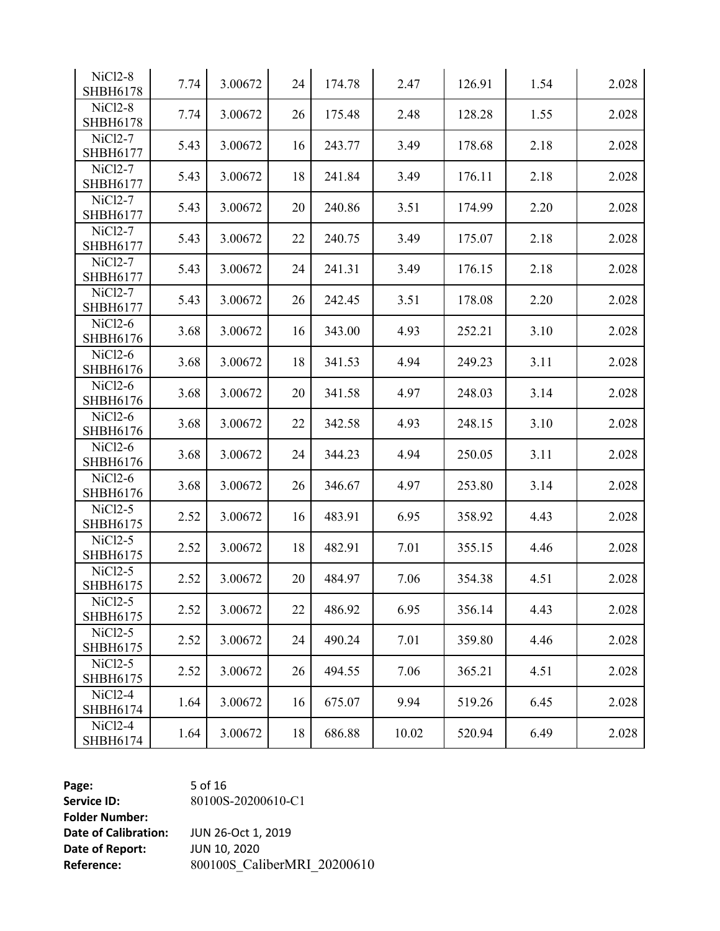| NiCl <sub>2</sub> -8<br><b>SHBH6178</b> | 7.74 | 3.00672 | 24 | 174.78 | 2.47  | 126.91 | 1.54 | 2.028 |
|-----------------------------------------|------|---------|----|--------|-------|--------|------|-------|
| <b>NiCl2-8</b><br><b>SHBH6178</b>       | 7.74 | 3.00672 | 26 | 175.48 | 2.48  | 128.28 | 1.55 | 2.028 |
| NiCl <sub>2</sub> -7<br>SHBH6177        | 5.43 | 3.00672 | 16 | 243.77 | 3.49  | 178.68 | 2.18 | 2.028 |
| NiCl <sub>2</sub> -7<br>SHBH6177        | 5.43 | 3.00672 | 18 | 241.84 | 3.49  | 176.11 | 2.18 | 2.028 |
| NiCl <sub>2</sub> -7<br>SHBH6177        | 5.43 | 3.00672 | 20 | 240.86 | 3.51  | 174.99 | 2.20 | 2.028 |
| NiCl <sub>2</sub> -7<br>SHBH6177        | 5.43 | 3.00672 | 22 | 240.75 | 3.49  | 175.07 | 2.18 | 2.028 |
| NiCl <sub>2</sub> -7<br>SHBH6177        | 5.43 | 3.00672 | 24 | 241.31 | 3.49  | 176.15 | 2.18 | 2.028 |
| NiCl <sub>2</sub> -7<br>SHBH6177        | 5.43 | 3.00672 | 26 | 242.45 | 3.51  | 178.08 | 2.20 | 2.028 |
| NiCl <sub>2</sub> -6<br>SHBH6176        | 3.68 | 3.00672 | 16 | 343.00 | 4.93  | 252.21 | 3.10 | 2.028 |
| NiCl2-6<br>SHBH6176                     | 3.68 | 3.00672 | 18 | 341.53 | 4.94  | 249.23 | 3.11 | 2.028 |
| NiCl2-6<br>SHBH6176                     | 3.68 | 3.00672 | 20 | 341.58 | 4.97  | 248.03 | 3.14 | 2.028 |
| NiCl <sub>2</sub> -6<br>SHBH6176        | 3.68 | 3.00672 | 22 | 342.58 | 4.93  | 248.15 | 3.10 | 2.028 |
| NiCl <sub>2</sub> -6<br>SHBH6176        | 3.68 | 3.00672 | 24 | 344.23 | 4.94  | 250.05 | 3.11 | 2.028 |
| NiCl <sub>2</sub> -6<br>SHBH6176        | 3.68 | 3.00672 | 26 | 346.67 | 4.97  | 253.80 | 3.14 | 2.028 |
| $NiCl2-5$<br>SHBH6175                   | 2.52 | 3.00672 | 16 | 483.91 | 6.95  | 358.92 | 4.43 | 2.028 |
| $NiCl2-5$<br>SHBH6175                   | 2.52 | 3.00672 | 18 | 482.91 | 7.01  | 355.15 | 4.46 | 2.028 |
| NiCl <sub>2</sub> -5<br>SHBH6175        | 2.52 | 3.00672 | 20 | 484.97 | 7.06  | 354.38 | 4.51 | 2.028 |
| NiCl <sub>2</sub> -5<br>SHBH6175        | 2.52 | 3.00672 | 22 | 486.92 | 6.95  | 356.14 | 4.43 | 2.028 |
| $NiCl2-5$<br>SHBH6175                   | 2.52 | 3.00672 | 24 | 490.24 | 7.01  | 359.80 | 4.46 | 2.028 |
| $NiCl2-5$<br>SHBH6175                   | 2.52 | 3.00672 | 26 | 494.55 | 7.06  | 365.21 | 4.51 | 2.028 |
| $NiCl2-4$<br>SHBH6174                   | 1.64 | 3.00672 | 16 | 675.07 | 9.94  | 519.26 | 6.45 | 2.028 |
| NiCl <sub>2-4</sub><br>SHBH6174         | 1.64 | 3.00672 | 18 | 686.88 | 10.02 | 520.94 | 6.49 | 2.028 |

**Page:** 5 of 16 **Service ID: Folder Number: Date of Calibration:** JUN 26-Oct 1,<br>**Date of Report:** JUN 10, 2020 **Date of Report:** 

-20200610 -C1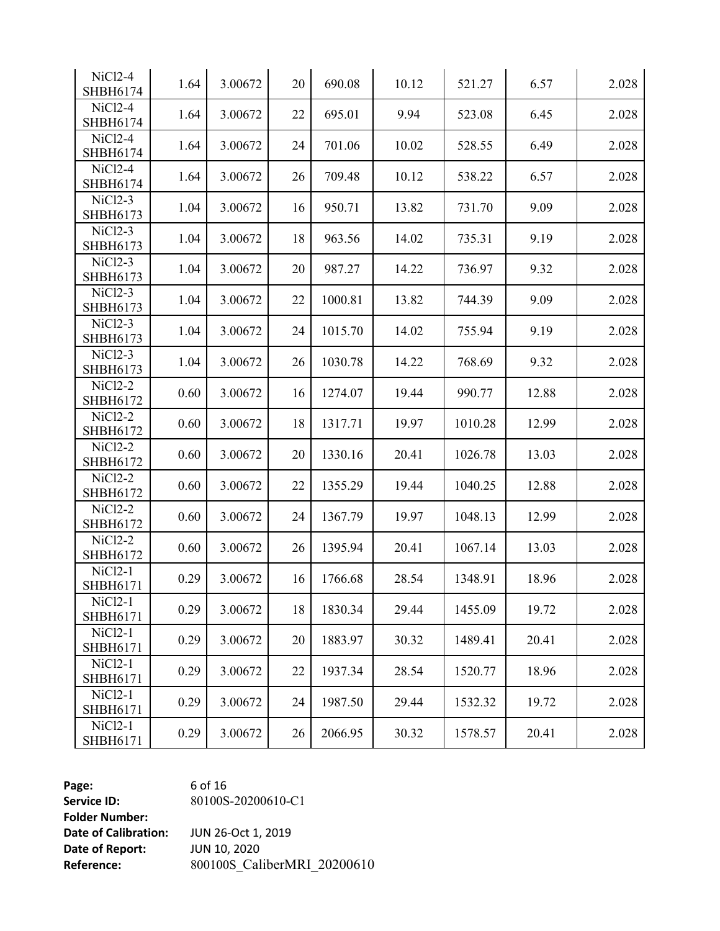| NiCl <sub>2-4</sub><br>SHBH6174         | 1.64 | 3.00672 | 20 | 690.08  | 10.12 | 521.27  | 6.57  | 2.028 |
|-----------------------------------------|------|---------|----|---------|-------|---------|-------|-------|
| NiCl2-4<br>SHBH6174                     | 1.64 | 3.00672 | 22 | 695.01  | 9.94  | 523.08  | 6.45  | 2.028 |
| NiCl2-4<br>SHBH6174                     | 1.64 | 3.00672 | 24 | 701.06  | 10.02 | 528.55  | 6.49  | 2.028 |
| NiCl2-4<br>SHBH6174                     | 1.64 | 3.00672 | 26 | 709.48  | 10.12 | 538.22  | 6.57  | 2.028 |
| $NiCl2-3$<br>SHBH6173                   | 1.04 | 3.00672 | 16 | 950.71  | 13.82 | 731.70  | 9.09  | 2.028 |
| NiCl <sub>2</sub> -3<br>SHBH6173        | 1.04 | 3.00672 | 18 | 963.56  | 14.02 | 735.31  | 9.19  | 2.028 |
| NiCl <sub>2</sub> -3<br>SHBH6173        | 1.04 | 3.00672 | 20 | 987.27  | 14.22 | 736.97  | 9.32  | 2.028 |
| NiCl <sub>2</sub> -3<br>SHBH6173        | 1.04 | 3.00672 | 22 | 1000.81 | 13.82 | 744.39  | 9.09  | 2.028 |
| NiCl <sub>2</sub> -3<br>SHBH6173        | 1.04 | 3.00672 | 24 | 1015.70 | 14.02 | 755.94  | 9.19  | 2.028 |
| $NiCl2-3$<br>SHBH6173                   | 1.04 | 3.00672 | 26 | 1030.78 | 14.22 | 768.69  | 9.32  | 2.028 |
| NiCl2-2<br><b>SHBH6172</b>              | 0.60 | 3.00672 | 16 | 1274.07 | 19.44 | 990.77  | 12.88 | 2.028 |
| NiCl <sub>2</sub> -2<br>SHBH6172        | 0.60 | 3.00672 | 18 | 1317.71 | 19.97 | 1010.28 | 12.99 | 2.028 |
| NiCl2-2<br>SHBH6172                     | 0.60 | 3.00672 | 20 | 1330.16 | 20.41 | 1026.78 | 13.03 | 2.028 |
| NiCl2-2<br>SHBH6172                     | 0.60 | 3.00672 | 22 | 1355.29 | 19.44 | 1040.25 | 12.88 | 2.028 |
| NiCl2-2<br>SHBH6172                     | 0.60 | 3.00672 | 24 | 1367.79 | 19.97 | 1048.13 | 12.99 | 2.028 |
| NiCl2-2<br>SHBH6172                     | 0.60 | 3.00672 | 26 | 1395.94 | 20.41 | 1067.14 | 13.03 | 2.028 |
| NiCl <sub>2</sub> -1<br>SHBH6171        | 0.29 | 3.00672 | 16 | 1766.68 | 28.54 | 1348.91 | 18.96 | 2.028 |
| NiCl <sub>2</sub> -1<br><b>SHBH6171</b> | 0.29 | 3.00672 | 18 | 1830.34 | 29.44 | 1455.09 | 19.72 | 2.028 |
| NiCl <sub>2</sub> -1<br>SHBH6171        | 0.29 | 3.00672 | 20 | 1883.97 | 30.32 | 1489.41 | 20.41 | 2.028 |
| NiCl <sub>2</sub> -1<br>SHBH6171        | 0.29 | 3.00672 | 22 | 1937.34 | 28.54 | 1520.77 | 18.96 | 2.028 |
| $NiCl2-1$<br>SHBH6171                   | 0.29 | 3.00672 | 24 | 1987.50 | 29.44 | 1532.32 | 19.72 | 2.028 |
| NiCl <sub>2</sub> -1<br>SHBH6171        | 0.29 | 3.00672 | 26 | 2066.95 | 30.32 | 1578.57 | 20.41 | 2.028 |

**Page:** 6 of 16 **Service ID:** 80100S-20200610-C1 **Folder Number: Date of Calibration:** JUN 26-Oct 1, 2019<br>**Date of Report:** JUN 10, 2020 **Date of Report:** 

**Reference:** 800100S\_CaliberMRI\_20200610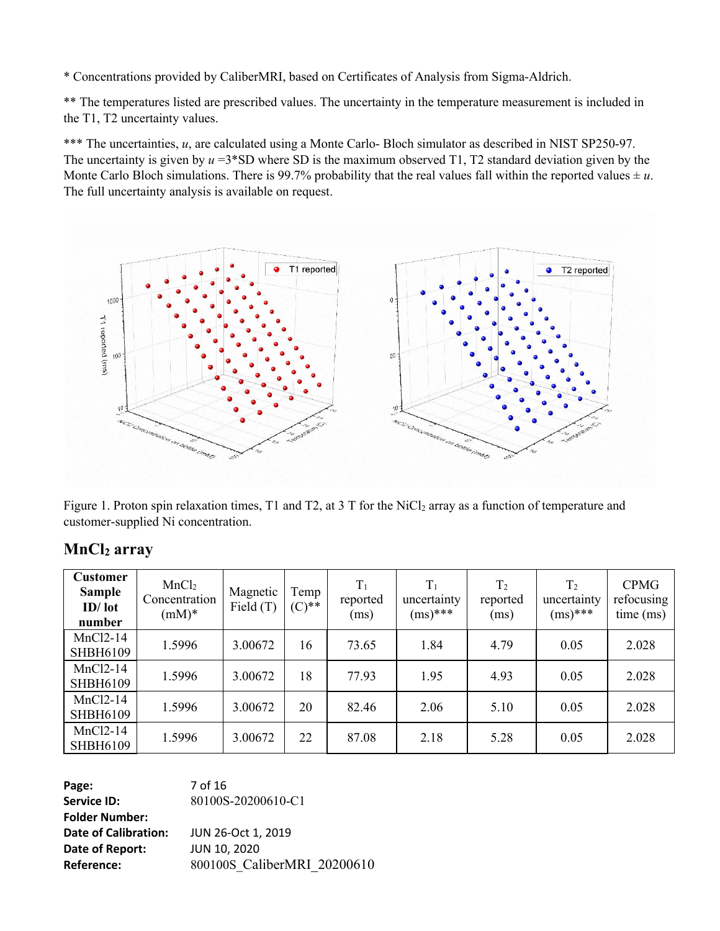\* Concentrations provided by CaliberMRI, based on Certificates of Analysis from Sigma-Aldrich.

\*\* The temperatures listed are prescribed values. The uncertainty in the temperature measurement is included in the T1, T2 uncertainty values.

\*\*\* The uncertainties, *u*, are calculated using a Monte Carlo- Bloch simulator as described in NIST SP250-97. The uncertainty is given by *u* =3\*SD where SD is the maximum observed T1, T2 standard deviation given by the Monte Carlo Bloch simulations. There is 99.7% probability that the real values fall within the reported values  $\pm u$ . The full uncertainty analysis is available on request.



Figure 1. Proton spin relaxation times, T1 and T2, at 3 T for the NiCl<sub>2</sub> array as a function of temperature and customer-supplied Ni concentration.

| <b>Customer</b><br><b>Sample</b><br>$ID/$ lot<br>number | MnCl <sub>2</sub><br>Concentration<br>$(mM)*$ | Magnetic<br>Field $(T)$ | Temp<br>$(C)$ ** | $T_1$<br>reported<br>(ms) | $T_1$<br>uncertainty<br>$(ms)$ *** | T <sub>2</sub><br>reported<br>(ms) | T <sub>2</sub><br>uncertainty<br>$(ms)$ *** | <b>CPMG</b><br>refocusing<br>time (ms) |
|---------------------------------------------------------|-----------------------------------------------|-------------------------|------------------|---------------------------|------------------------------------|------------------------------------|---------------------------------------------|----------------------------------------|
| $MnCl2-14$<br><b>SHBH6109</b>                           | 1.5996                                        | 3.00672                 | 16               | 73.65                     | 1.84                               | 4.79                               | 0.05                                        | 2.028                                  |
| $MnCl2-14$<br><b>SHBH6109</b>                           | 1.5996                                        | 3.00672                 | 18               | 77.93                     | 1.95                               | 4.93                               | 0.05                                        | 2.028                                  |
| $MnCl2-14$<br><b>SHBH6109</b>                           | 1.5996                                        | 3.00672                 | 20               | 82.46                     | 2.06                               | 5.10                               | 0.05                                        | 2.028                                  |
| $MnCl2-14$<br><b>SHBH6109</b>                           | 1.5996                                        | 3.00672                 | 22               | 87.08                     | 2.18                               | 5.28                               | 0.05                                        | 2.028                                  |

### **MnCl<sup>2</sup> array**

**Page:** 7 of 16 **Service ID:** 80100S-20200610-C1 **Folder Number: Date of Calibration:** JUN 26-Oct 1, 2019 **Date of Report:** JUN 10, 2020 **Reference:** 800100S CaliberMRI 20200610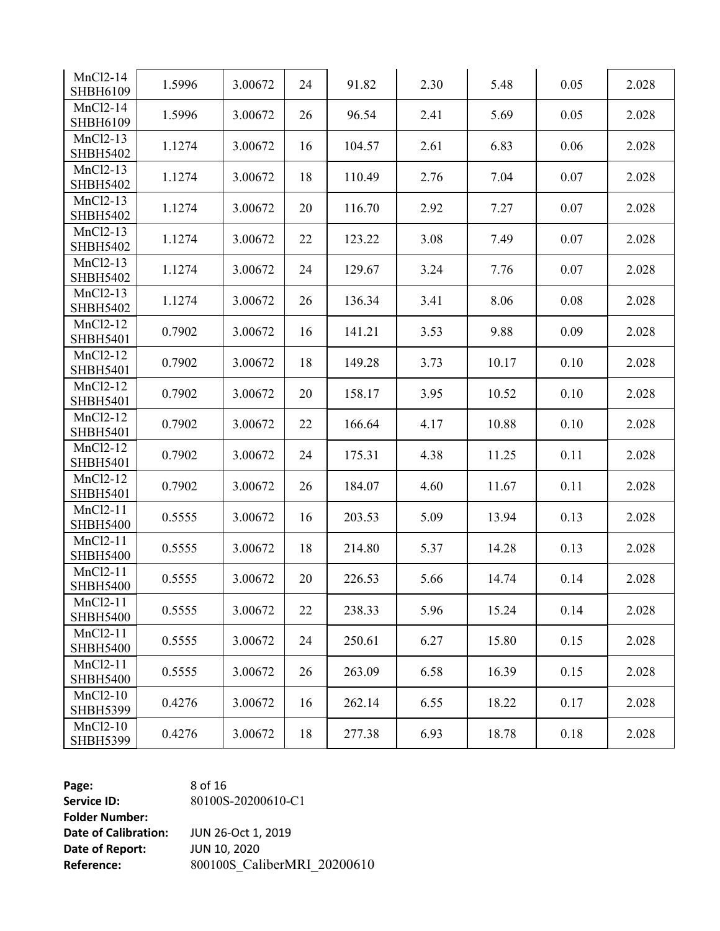| $MnCl2-14$<br>SHBH6109        | 1.5996 | 3.00672 | 24 | 91.82  | 2.30 | 5.48  | 0.05 | 2.028 |
|-------------------------------|--------|---------|----|--------|------|-------|------|-------|
| MnCl2-14<br><b>SHBH6109</b>   | 1.5996 | 3.00672 | 26 | 96.54  | 2.41 | 5.69  | 0.05 | 2.028 |
| $MnCl2-13$<br><b>SHBH5402</b> | 1.1274 | 3.00672 | 16 | 104.57 | 2.61 | 6.83  | 0.06 | 2.028 |
| MnCl2-13<br><b>SHBH5402</b>   | 1.1274 | 3.00672 | 18 | 110.49 | 2.76 | 7.04  | 0.07 | 2.028 |
| MnCl2-13<br><b>SHBH5402</b>   | 1.1274 | 3.00672 | 20 | 116.70 | 2.92 | 7.27  | 0.07 | 2.028 |
| $MnCl2-13$<br><b>SHBH5402</b> | 1.1274 | 3.00672 | 22 | 123.22 | 3.08 | 7.49  | 0.07 | 2.028 |
| MnCl2-13<br><b>SHBH5402</b>   | 1.1274 | 3.00672 | 24 | 129.67 | 3.24 | 7.76  | 0.07 | 2.028 |
| MnCl2-13<br><b>SHBH5402</b>   | 1.1274 | 3.00672 | 26 | 136.34 | 3.41 | 8.06  | 0.08 | 2.028 |
| $MnCl2-12$<br><b>SHBH5401</b> | 0.7902 | 3.00672 | 16 | 141.21 | 3.53 | 9.88  | 0.09 | 2.028 |
| MnCl2-12<br><b>SHBH5401</b>   | 0.7902 | 3.00672 | 18 | 149.28 | 3.73 | 10.17 | 0.10 | 2.028 |
| MnCl2-12<br><b>SHBH5401</b>   | 0.7902 | 3.00672 | 20 | 158.17 | 3.95 | 10.52 | 0.10 | 2.028 |
| MnCl2-12<br><b>SHBH5401</b>   | 0.7902 | 3.00672 | 22 | 166.64 | 4.17 | 10.88 | 0.10 | 2.028 |
| MnCl2-12<br><b>SHBH5401</b>   | 0.7902 | 3.00672 | 24 | 175.31 | 4.38 | 11.25 | 0.11 | 2.028 |
| MnCl2-12<br><b>SHBH5401</b>   | 0.7902 | 3.00672 | 26 | 184.07 | 4.60 | 11.67 | 0.11 | 2.028 |
| $MnCl2-11$<br><b>SHBH5400</b> | 0.5555 | 3.00672 | 16 | 203.53 | 5.09 | 13.94 | 0.13 | 2.028 |
| $MnCl2-11$<br><b>SHBH5400</b> | 0.5555 | 3.00672 | 18 | 214.80 | 5.37 | 14.28 | 0.13 | 2.028 |
| $MnCl2-11$<br><b>SHBH5400</b> | 0.5555 | 3.00672 | 20 | 226.53 | 5.66 | 14.74 | 0.14 | 2.028 |
| $MnCl2-11$<br><b>SHBH5400</b> | 0.5555 | 3.00672 | 22 | 238.33 | 5.96 | 15.24 | 0.14 | 2.028 |
| $MnCl2-11$<br><b>SHBH5400</b> | 0.5555 | 3.00672 | 24 | 250.61 | 6.27 | 15.80 | 0.15 | 2.028 |
| $MnCl2-11$<br><b>SHBH5400</b> | 0.5555 | 3.00672 | 26 | 263.09 | 6.58 | 16.39 | 0.15 | 2.028 |
| $MnCl2-10$<br><b>SHBH5399</b> | 0.4276 | 3.00672 | 16 | 262.14 | 6.55 | 18.22 | 0.17 | 2.028 |
| $MnCl2-10$<br><b>SHBH5399</b> | 0.4276 | 3.00672 | 18 | 277.38 | 6.93 | 18.78 | 0.18 | 2.028 |

**Page:** 8 of 16 **Service ID: Folder Number: Date of Calibration:** JUN 26-Oct 1,<br>**Date of Report:** JUN 10, 2020 **Date of Report:** 

-20200610 -C1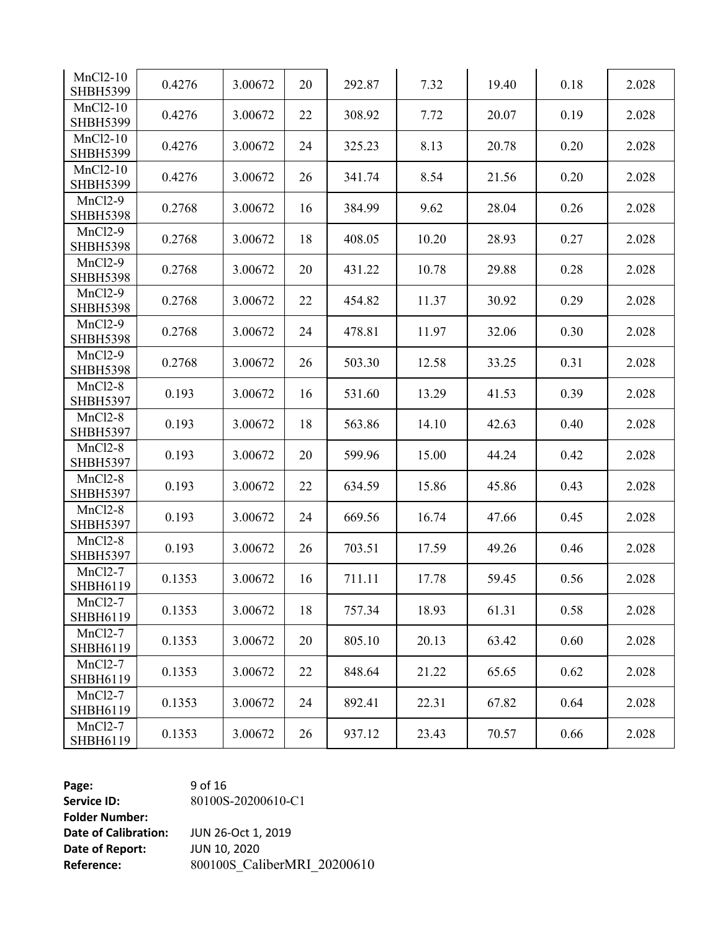| $MnCl2-10$<br><b>SHBH5399</b>     | 0.4276 | 3.00672 | 20 | 292.87 | 7.32  | 19.40 | 0.18 | 2.028 |
|-----------------------------------|--------|---------|----|--------|-------|-------|------|-------|
| $MnCl2-10$<br><b>SHBH5399</b>     | 0.4276 | 3.00672 | 22 | 308.92 | 7.72  | 20.07 | 0.19 | 2.028 |
| $MnCl2-10$<br><b>SHBH5399</b>     | 0.4276 | 3.00672 | 24 | 325.23 | 8.13  | 20.78 | 0.20 | 2.028 |
| MnCl2-10<br><b>SHBH5399</b>       | 0.4276 | 3.00672 | 26 | 341.74 | 8.54  | 21.56 | 0.20 | 2.028 |
| $MnCl2-9$<br><b>SHBH5398</b>      | 0.2768 | 3.00672 | 16 | 384.99 | 9.62  | 28.04 | 0.26 | 2.028 |
| $MnCl2-9$<br><b>SHBH5398</b>      | 0.2768 | 3.00672 | 18 | 408.05 | 10.20 | 28.93 | 0.27 | 2.028 |
| $MnCl2-9$<br><b>SHBH5398</b>      | 0.2768 | 3.00672 | 20 | 431.22 | 10.78 | 29.88 | 0.28 | 2.028 |
| $MnCl2-9$<br><b>SHBH5398</b>      | 0.2768 | 3.00672 | 22 | 454.82 | 11.37 | 30.92 | 0.29 | 2.028 |
| <b>MnCl2-9</b><br><b>SHBH5398</b> | 0.2768 | 3.00672 | 24 | 478.81 | 11.97 | 32.06 | 0.30 | 2.028 |
| $MnCl2-9$<br><b>SHBH5398</b>      | 0.2768 | 3.00672 | 26 | 503.30 | 12.58 | 33.25 | 0.31 | 2.028 |
| $MnCl2-8$<br><b>SHBH5397</b>      | 0.193  | 3.00672 | 16 | 531.60 | 13.29 | 41.53 | 0.39 | 2.028 |
| $MnCl2-8$<br><b>SHBH5397</b>      | 0.193  | 3.00672 | 18 | 563.86 | 14.10 | 42.63 | 0.40 | 2.028 |
| $MnCl2-8$<br><b>SHBH5397</b>      | 0.193  | 3.00672 | 20 | 599.96 | 15.00 | 44.24 | 0.42 | 2.028 |
| $MnCl2-8$<br><b>SHBH5397</b>      | 0.193  | 3.00672 | 22 | 634.59 | 15.86 | 45.86 | 0.43 | 2.028 |
| $MnCl2-8$<br><b>SHBH5397</b>      | 0.193  | 3.00672 | 24 | 669.56 | 16.74 | 47.66 | 0.45 | 2.028 |
| $MnCl2-8$<br><b>SHBH5397</b>      | 0.193  | 3.00672 | 26 | 703.51 | 17.59 | 49.26 | 0.46 | 2.028 |
| <b>MnCl2-7</b><br>SHBH6119        | 0.1353 | 3.00672 | 16 | 711.11 | 17.78 | 59.45 | 0.56 | 2.028 |
| $MnCl2-7$<br>SHBH6119             | 0.1353 | 3.00672 | 18 | 757.34 | 18.93 | 61.31 | 0.58 | 2.028 |
| $MnCl2-7$<br>SHBH6119             | 0.1353 | 3.00672 | 20 | 805.10 | 20.13 | 63.42 | 0.60 | 2.028 |
| $MnCl2-7$<br>SHBH6119             | 0.1353 | 3.00672 | 22 | 848.64 | 21.22 | 65.65 | 0.62 | 2.028 |
| $MnCl2-7$<br>SHBH6119             | 0.1353 | 3.00672 | 24 | 892.41 | 22.31 | 67.82 | 0.64 | 2.028 |
| $MnCl2-7$<br>SHBH6119             | 0.1353 | 3.00672 | 26 | 937.12 | 23.43 | 70.57 | 0.66 | 2.028 |

**Page:** 9 of 16 **Service ID: Folder Number: Date of Calibration:** JUN 26-Oct 1,<br>**Date of Report:** JUN 10, 2020 **Date of Report:** 

-20200610 -C1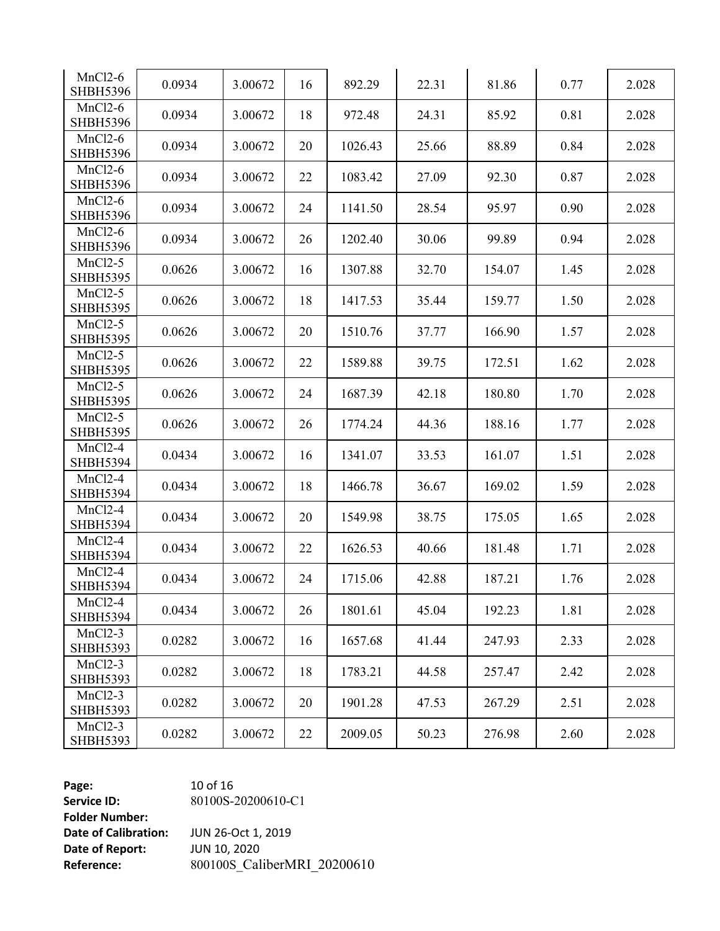| $MnCl2-6$<br><b>SHBH5396</b> | 0.0934 | 3.00672 | 16 | 892.29  | 22.31 | 81.86  | 0.77 | 2.028 |
|------------------------------|--------|---------|----|---------|-------|--------|------|-------|
| $MnCl2-6$<br><b>SHBH5396</b> | 0.0934 | 3.00672 | 18 | 972.48  | 24.31 | 85.92  | 0.81 | 2.028 |
| $MnCl2-6$<br><b>SHBH5396</b> | 0.0934 | 3.00672 | 20 | 1026.43 | 25.66 | 88.89  | 0.84 | 2.028 |
| $MnCl2-6$<br><b>SHBH5396</b> | 0.0934 | 3.00672 | 22 | 1083.42 | 27.09 | 92.30  | 0.87 | 2.028 |
| $MnCl2-6$<br><b>SHBH5396</b> | 0.0934 | 3.00672 | 24 | 1141.50 | 28.54 | 95.97  | 0.90 | 2.028 |
| $MnCl2-6$<br><b>SHBH5396</b> | 0.0934 | 3.00672 | 26 | 1202.40 | 30.06 | 99.89  | 0.94 | 2.028 |
| $MnCl2-5$<br><b>SHBH5395</b> | 0.0626 | 3.00672 | 16 | 1307.88 | 32.70 | 154.07 | 1.45 | 2.028 |
| $MnCl2-5$<br><b>SHBH5395</b> | 0.0626 | 3.00672 | 18 | 1417.53 | 35.44 | 159.77 | 1.50 | 2.028 |
| $MnCl2-5$<br><b>SHBH5395</b> | 0.0626 | 3.00672 | 20 | 1510.76 | 37.77 | 166.90 | 1.57 | 2.028 |
| $MnCl2-5$<br><b>SHBH5395</b> | 0.0626 | 3.00672 | 22 | 1589.88 | 39.75 | 172.51 | 1.62 | 2.028 |
| $MnCl2-5$<br><b>SHBH5395</b> | 0.0626 | 3.00672 | 24 | 1687.39 | 42.18 | 180.80 | 1.70 | 2.028 |
| $MnCl2-5$<br><b>SHBH5395</b> | 0.0626 | 3.00672 | 26 | 1774.24 | 44.36 | 188.16 | 1.77 | 2.028 |
| $MnCl2-4$<br><b>SHBH5394</b> | 0.0434 | 3.00672 | 16 | 1341.07 | 33.53 | 161.07 | 1.51 | 2.028 |
| $MnCl2-4$<br><b>SHBH5394</b> | 0.0434 | 3.00672 | 18 | 1466.78 | 36.67 | 169.02 | 1.59 | 2.028 |
| $MnCl2-4$<br><b>SHBH5394</b> | 0.0434 | 3.00672 | 20 | 1549.98 | 38.75 | 175.05 | 1.65 | 2.028 |
| $MnCl2-4$<br><b>SHBH5394</b> | 0.0434 | 3.00672 | 22 | 1626.53 | 40.66 | 181.48 | 1.71 | 2.028 |
| $MnCl2-4$<br><b>SHBH5394</b> | 0.0434 | 3.00672 | 24 | 1715.06 | 42.88 | 187.21 | 1.76 | 2.028 |
| $MnCl2-4$<br><b>SHBH5394</b> | 0.0434 | 3.00672 | 26 | 1801.61 | 45.04 | 192.23 | 1.81 | 2.028 |
| $MnCl2-3$<br><b>SHBH5393</b> | 0.0282 | 3.00672 | 16 | 1657.68 | 41.44 | 247.93 | 2.33 | 2.028 |
| $MnCl2-3$<br><b>SHBH5393</b> | 0.0282 | 3.00672 | 18 | 1783.21 | 44.58 | 257.47 | 2.42 | 2.028 |
| $MnCl2-3$<br><b>SHBH5393</b> | 0.0282 | 3.00672 | 20 | 1901.28 | 47.53 | 267.29 | 2.51 | 2.028 |
| $MnCl2-3$<br><b>SHBH5393</b> | 0.0282 | 3.00672 | 22 | 2009.05 | 50.23 | 276.98 | 2.60 | 2.028 |

**Page:** 10 of 16 **Service ID: Folder Number: Date of Calibration:** JUN 26-Oct 1,<br>**Date of Report:** JUN 10, 2020 **Date of Report:** 

-20200610 -C1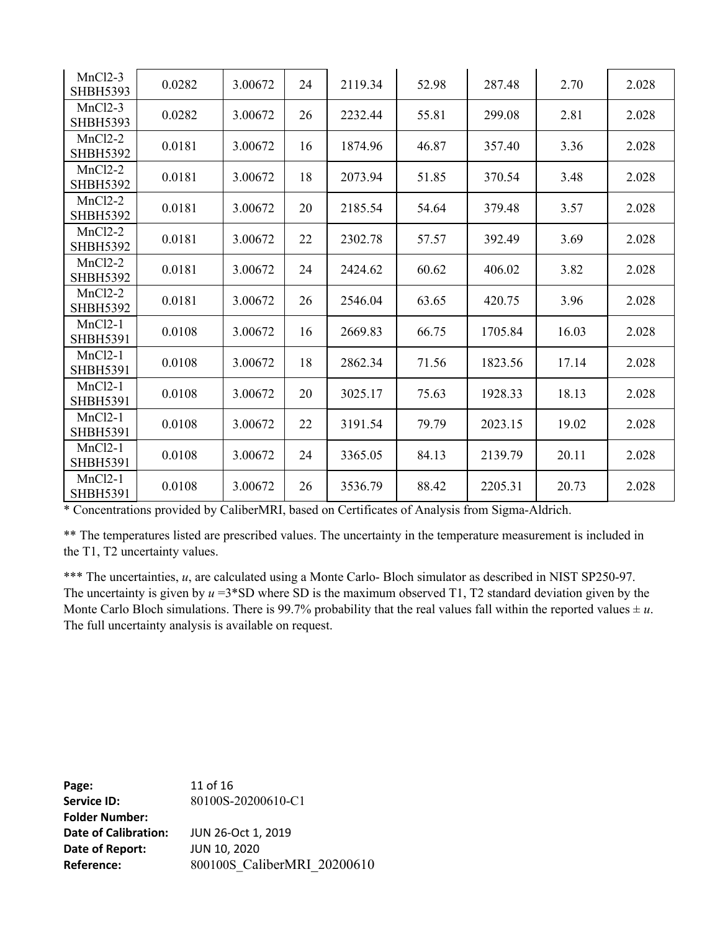| $MnCl2-3$<br><b>SHBH5393</b>      | 0.0282 | 3.00672 | 24 | 2119.34 | 52.98 | 287.48  | 2.70  | 2.028 |
|-----------------------------------|--------|---------|----|---------|-------|---------|-------|-------|
| $MnCl2-3$<br><b>SHBH5393</b>      | 0.0282 | 3.00672 | 26 | 2232.44 | 55.81 | 299.08  | 2.81  | 2.028 |
| $MnCl2-2$<br><b>SHBH5392</b>      | 0.0181 | 3.00672 | 16 | 1874.96 | 46.87 | 357.40  | 3.36  | 2.028 |
| $MnCl2-2$<br><b>SHBH5392</b>      | 0.0181 | 3.00672 | 18 | 2073.94 | 51.85 | 370.54  | 3.48  | 2.028 |
| <b>MnCl2-2</b><br><b>SHBH5392</b> | 0.0181 | 3.00672 | 20 | 2185.54 | 54.64 | 379.48  | 3.57  | 2.028 |
| $MnCl2-2$<br><b>SHBH5392</b>      | 0.0181 | 3.00672 | 22 | 2302.78 | 57.57 | 392.49  | 3.69  | 2.028 |
| $MnCl2-2$<br><b>SHBH5392</b>      | 0.0181 | 3.00672 | 24 | 2424.62 | 60.62 | 406.02  | 3.82  | 2.028 |
| $MnCl2-2$<br><b>SHBH5392</b>      | 0.0181 | 3.00672 | 26 | 2546.04 | 63.65 | 420.75  | 3.96  | 2.028 |
| $MnCl2-1$<br><b>SHBH5391</b>      | 0.0108 | 3.00672 | 16 | 2669.83 | 66.75 | 1705.84 | 16.03 | 2.028 |
| $MnCl2-1$<br><b>SHBH5391</b>      | 0.0108 | 3.00672 | 18 | 2862.34 | 71.56 | 1823.56 | 17.14 | 2.028 |
| $MnCl2-1$<br><b>SHBH5391</b>      | 0.0108 | 3.00672 | 20 | 3025.17 | 75.63 | 1928.33 | 18.13 | 2.028 |
| $MnCl2-1$<br><b>SHBH5391</b>      | 0.0108 | 3.00672 | 22 | 3191.54 | 79.79 | 2023.15 | 19.02 | 2.028 |
| $MnCl2-1$<br><b>SHBH5391</b>      | 0.0108 | 3.00672 | 24 | 3365.05 | 84.13 | 2139.79 | 20.11 | 2.028 |
| $MnCl2-1$<br><b>SHBH5391</b>      | 0.0108 | 3.00672 | 26 | 3536.79 | 88.42 | 2205.31 | 20.73 | 2.028 |

\* Concentrations provided by CaliberMRI, based on Certificates of Analysis from Sigma-Aldrich.

\*\* The temperatures listed are prescribed values. The uncertainty in the temperature measurement is included in the T1, T2 uncertainty values.

\*\*\* The uncertainties, *u*, are calculated using a Monte Carlo- Bloch simulator as described in NIST SP250-97. The uncertainty is given by *u* =3\*SD where SD is the maximum observed T1, T2 standard deviation given by the Monte Carlo Bloch simulations. There is 99.7% probability that the real values fall within the reported values  $\pm u$ . The full uncertainty analysis is available on request.

**Page:** 11 of 16 **Service ID:** 80100S-20200610-C1 **Folder Number: Date of Calibration:** JUN 26-Oct 1, 2019 **Date of Report:** JUN 10, 2020 **Reference:** 800100S\_CaliberMRI\_20200610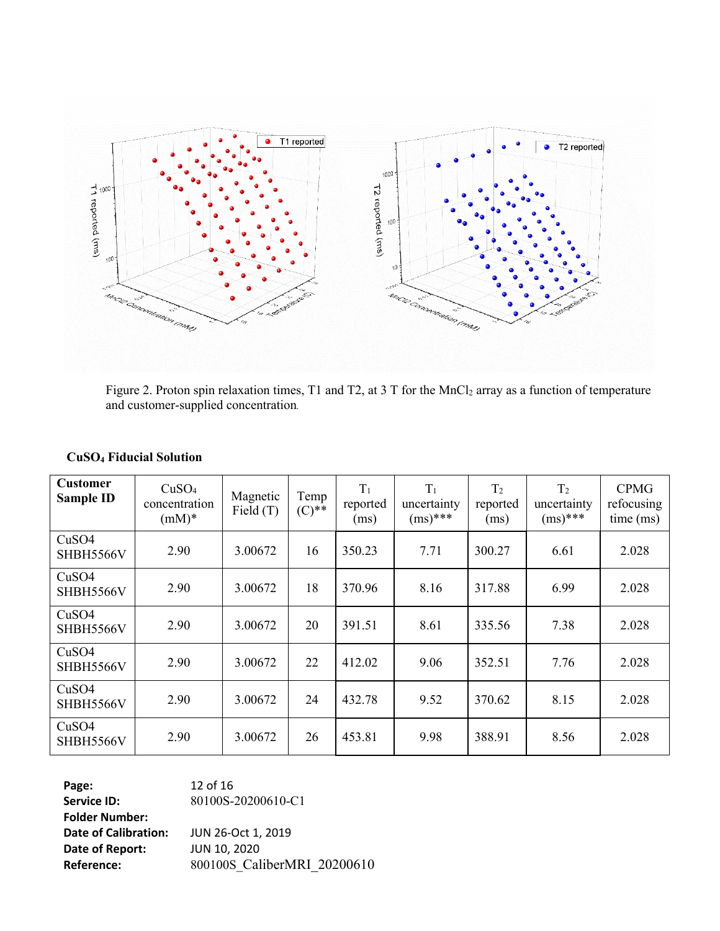

Figure 2. Proton spin relaxation times, T1 and T2, at 3 T for the MnCl<sub>2</sub> array as a function of temperature and customer-supplied concentration*.*

| <b>Customer</b><br><b>Sample ID</b> | CuSO <sub>4</sub><br>concentration<br>$(mM)*$ | Magnetic<br>Field $(T)$ | Temp<br>$(C)$ ** | $T_1$<br>reported<br>(ms) | $T_1$<br>uncertainty<br>$(ms)^{***}$ | T <sub>2</sub><br>reported<br>(ms) | T <sub>2</sub><br>uncertainty<br>$(ms)^{***}$ | <b>CPMG</b><br>refocusing<br>time (ms) |
|-------------------------------------|-----------------------------------------------|-------------------------|------------------|---------------------------|--------------------------------------|------------------------------------|-----------------------------------------------|----------------------------------------|
| CuSO4<br>SHBH5566V                  | 2.90                                          | 3.00672                 | 16               | 350.23                    | 7.71                                 | 300.27                             | 6.61                                          | 2.028                                  |
| CuSO <sub>4</sub><br>SHBH5566V      | 2.90                                          | 3.00672                 | 18               | 370.96                    | 8.16                                 | 317.88                             | 6.99                                          | 2.028                                  |
| CuSO <sub>4</sub><br>SHBH5566V      | 2.90                                          | 3.00672                 | 20               | 391.51                    | 8.61                                 | 335.56                             | 7.38                                          | 2.028                                  |
| CuSO <sub>4</sub><br>SHBH5566V      | 2.90                                          | 3.00672                 | 22               | 412.02                    | 9.06                                 | 352.51                             | 7.76                                          | 2.028                                  |
| CuSO4<br>SHBH5566V                  | 2.90                                          | 3.00672                 | 24               | 432.78                    | 9.52                                 | 370.62                             | 8.15                                          | 2.028                                  |
| CuSO4<br>SHBH5566V                  | 2.90                                          | 3.00672                 | 26               | 453.81                    | 9.98                                 | 388.91                             | 8.56                                          | 2.028                                  |

#### **CuSO<sup>4</sup> Fiducial Solution**

**Page:** 12 of 16 **Service ID:** 80100S-20200610-C1 **Folder Number: Date of Calibration:** JUN 26-Oct 1, 2019 **Date of Report:** JUN 10, 2020 **Reference:** 800100S\_CaliberMRI\_20200610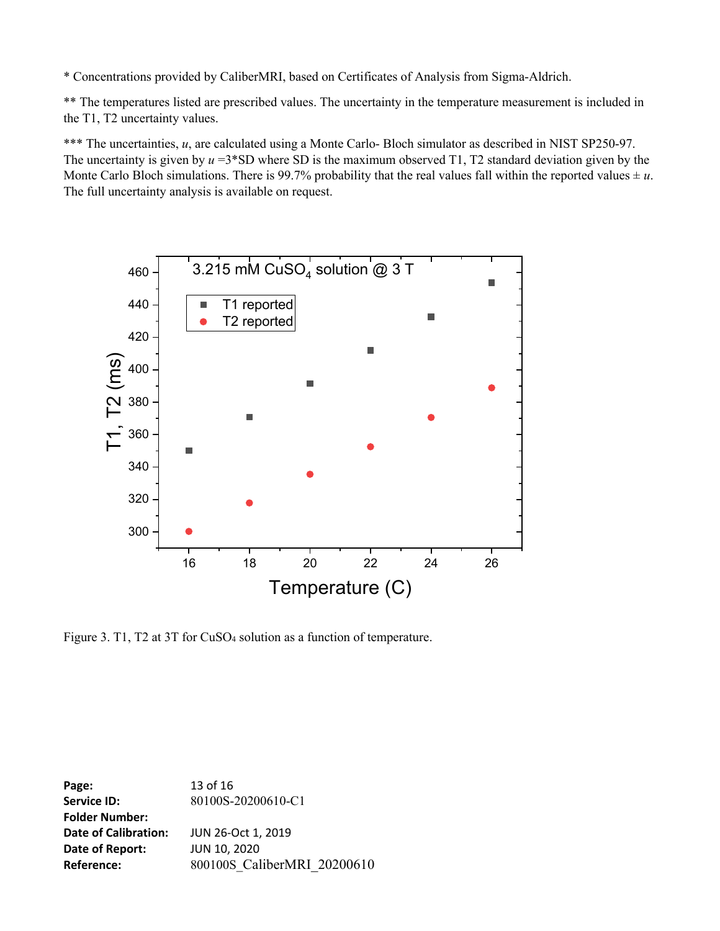\* Concentrations provided by CaliberMRI, based on Certificates of Analysis from Sigma-Aldrich.

\*\* The temperatures listed are prescribed values. The uncertainty in the temperature measurement is included in the T1, T2 uncertainty values.

\*\*\* The uncertainties, *u*, are calculated using a Monte Carlo- Bloch simulator as described in NIST SP250-97. The uncertainty is given by *u* =3\*SD where SD is the maximum observed T1, T2 standard deviation given by the Monte Carlo Bloch simulations. There is 99.7% probability that the real values fall within the reported values  $\pm u$ . The full uncertainty analysis is available on request.



Figure 3. T1, T2 at 3T for CuSO<sup>4</sup> solution as a function of temperature.

**Page:** 13 of 16 **Service ID:** 80100S-20200610-C1 **Folder Number: Date of Calibration:** JUN 26-Oct 1, 2019 **Date of Report:** JUN 10, 2020 **Reference:** 800100S CaliberMRI 20200610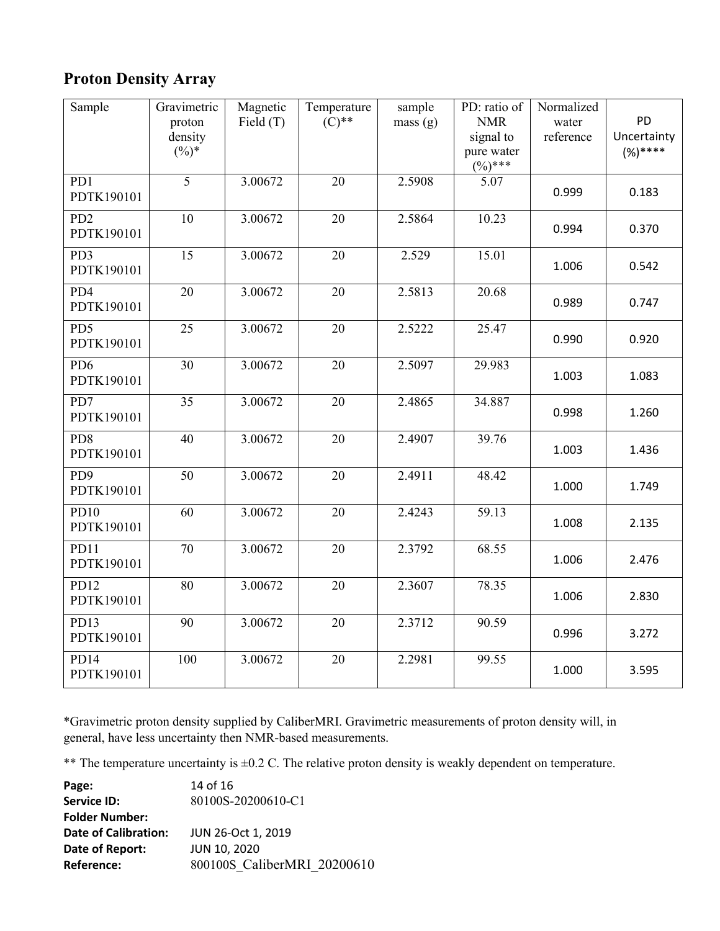## **Proton Density Array**

| Sample                        | Gravimetric<br>proton<br>density<br>$(\%)^*$ | Magnetic<br>Field (T) | Temperature<br>$(C)$ ** | sample<br>mass(g) | PD: ratio of<br><b>NMR</b><br>signal to<br>pure water<br>$(%)$ *** | Normalized<br>water<br>reference | PD<br>Uncertainty<br>$(%)***$ |
|-------------------------------|----------------------------------------------|-----------------------|-------------------------|-------------------|--------------------------------------------------------------------|----------------------------------|-------------------------------|
| PD1<br>PDTK190101             | $\overline{5}$                               | 3.00672               | $\overline{20}$         | 2.5908            | 5.07                                                               | 0.999                            | 0.183                         |
| PD <sub>2</sub><br>PDTK190101 | 10                                           | 3.00672               | 20                      | 2.5864            | 10.23                                                              | 0.994                            | 0.370                         |
| PD3<br>PDTK190101             | 15                                           | 3.00672               | 20                      | 2.529             | 15.01                                                              | 1.006                            | 0.542                         |
| PD4<br>PDTK190101             | 20                                           | 3.00672               | $\overline{20}$         | 2.5813            | 20.68                                                              | 0.989                            | 0.747                         |
| PD5<br>PDTK190101             | 25                                           | 3.00672               | 20                      | 2.5222            | 25.47                                                              | 0.990                            | 0.920                         |
| PD <sub>6</sub><br>PDTK190101 | 30                                           | 3.00672               | 20                      | 2.5097            | 29.983                                                             | 1.003                            | 1.083                         |
| PD7<br>PDTK190101             | $\overline{35}$                              | 3.00672               | $\overline{20}$         | 2.4865            | 34.887                                                             | 0.998                            | 1.260                         |
| PD <sub>8</sub><br>PDTK190101 | 40                                           | 3.00672               | 20                      | 2.4907            | 39.76                                                              | 1.003                            | 1.436                         |
| PD <sub>9</sub><br>PDTK190101 | 50                                           | 3.00672               | 20                      | 2.4911            | 48.42                                                              | 1.000                            | 1.749                         |
| <b>PD10</b><br>PDTK190101     | 60                                           | 3.00672               | $\overline{20}$         | 2.4243            | 59.13                                                              | 1.008                            | 2.135                         |
| PD11<br>PDTK190101            | 70                                           | 3.00672               | 20                      | 2.3792            | 68.55                                                              | 1.006                            | 2.476                         |
| PD12<br>PDTK190101            | 80                                           | 3.00672               | 20                      | 2.3607            | 78.35                                                              | 1.006                            | 2.830                         |
| PD13<br>PDTK190101            | 90                                           | 3.00672               | 20                      | 2.3712            | 90.59                                                              | 0.996                            | 3.272                         |
| <b>PD14</b><br>PDTK190101     | 100                                          | 3.00672               | 20                      | 2.2981            | 99.55                                                              | 1.000                            | 3.595                         |

\*Gravimetric proton density supplied by CaliberMRI. Gravimetric measurements of proton density will, in general, have less uncertainty then NMR-based measurements.

\*\* The temperature uncertainty is ±0.2 C. The relative proton density is weakly dependent on temperature.

| Page:                 | 14 of 16                    |
|-----------------------|-----------------------------|
| <b>Service ID:</b>    | 80100S-20200610-C1          |
| <b>Folder Number:</b> |                             |
| Date of Calibration:  | JUN 26-Oct 1, 2019          |
| Date of Report:       | <b>JUN 10, 2020</b>         |
| Reference:            | 800100S CaliberMRI 20200610 |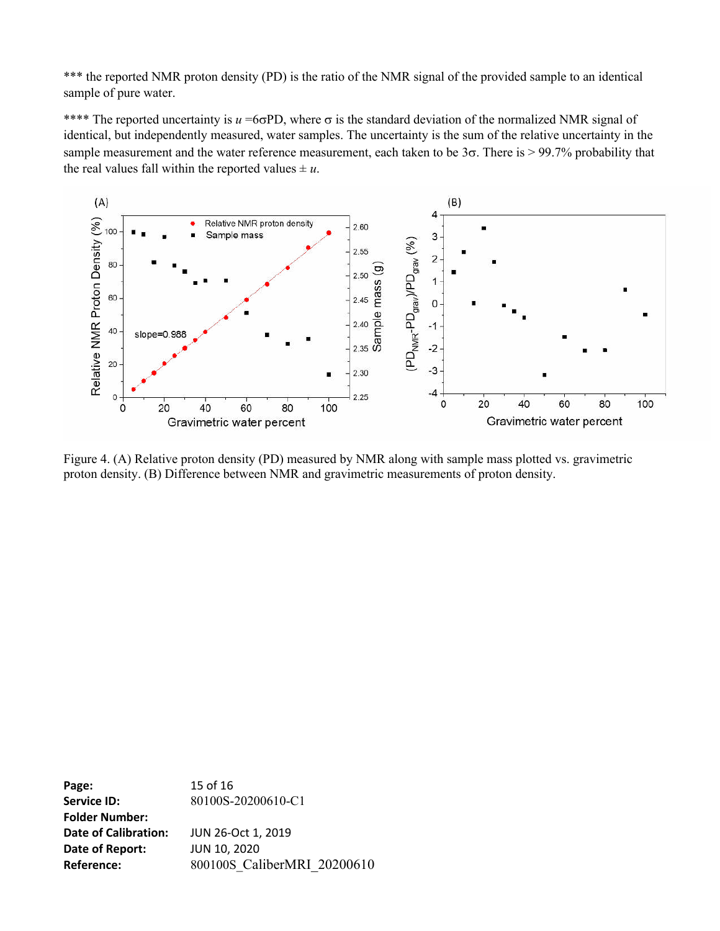\*\*\* the reported NMR proton density (PD) is the ratio of the NMR signal of the provided sample to an identical sample of pure water.

\*\*\*\* The reported uncertainty is  $u = 66PD$ , where  $\sigma$  is the standard deviation of the normalized NMR signal of identical, but independently measured, water samples. The uncertainty is the sum of the relative uncertainty in the sample measurement and the water reference measurement, each taken to be  $3\sigma$ . There is  $> 99.7\%$  probability that the real values fall within the reported values  $\pm u$ .



Figure 4. (A) Relative proton density (PD) measured by NMR along with sample mass plotted vs. gravimetric proton density. (B) Difference between NMR and gravimetric measurements of proton density.

**Page:** 15 of 16 **Service ID:** 80100S-20200610-C1 **Folder Number: Date of Calibration:** JUN 26-Oct 1, 2019 **Date of Report:** JUN 10, 2020 **Reference:** 800100S CaliberMRI 20200610